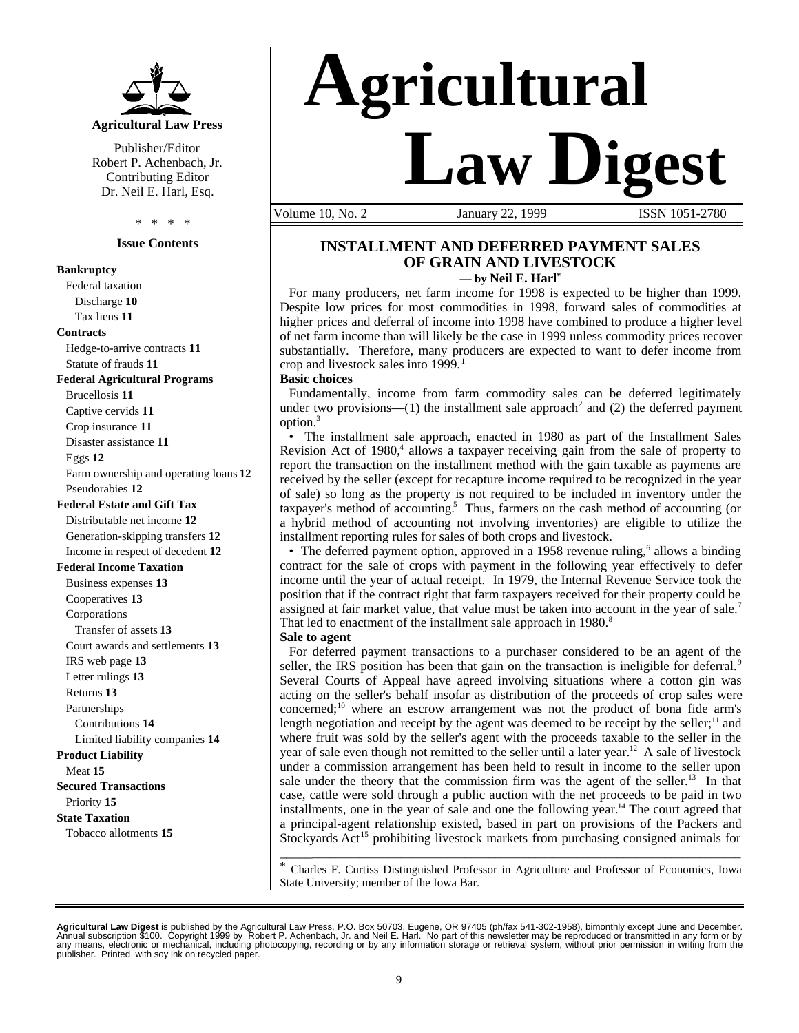

Publisher/Editor Robert P. Achenbach, Jr. Contributing Editor Dr. Neil E. Harl, Esq.

\* \* \* \*

#### **Issue Contents**

#### **Bankruptcy**

Federal taxation Discharge **10** Tax liens **11 Contracts** Hedge-to-arrive contracts **11** Statute of frauds **11 Federal Agricultural Programs** Brucellosis **11** Captive cervids **11** Crop insurance **11** Disaster assistance **11** Eggs **12** Farm ownership and operating loans **12** Pseudorabies **12**

#### **Federal Estate and Gift Tax**

Distributable net income **12** Generation-skipping transfers **12** Income in respect of decedent **12**

#### **Federal Income Taxation**

Business expenses **13** Cooperatives **13** Corporations Transfer of assets **13** Court awards and settlements **13** IRS web page **13** Letter rulings **13** Returns **13** Partnerships Contributions **14** Limited liability companies **14 Product Liability** Meat **15 Secured Transactions** Priority **15 State Taxation** Tobacco allotments **15**

# **Agricultural Law Digest**

Volume 10, No. 2 January 22, 1999 ISSN 1051-2780

## **INSTALLMENT AND DEFERRED PAYMENT SALES OF GRAIN AND LIVESTOCK**

**— by Neil E. Harl\***

For many producers, net farm income for 1998 is expected to be higher than 1999. Despite low prices for most commodities in 1998, forward sales of commodities at higher prices and deferral of income into 1998 have combined to produce a higher level of net farm income than will likely be the case in 1999 unless commodity prices recover substantially. Therefore, many producers are expected to want to defer income from crop and livestock sales into  $1999$ .<sup>1</sup>

#### **Basic choices**

Fundamentally, income from farm commodity sales can be deferred legitimately under two provisions— $(1)$  the installment sale approach<sup>2</sup> and  $(2)$  the deferred payment option.<sup>3</sup>

• The installment sale approach, enacted in 1980 as part of the Installment Sales Revision Act of 1980,<sup>4</sup> allows a taxpayer receiving gain from the sale of property to report the transaction on the installment method with the gain taxable as payments are received by the seller (except for recapture income required to be recognized in the year of sale) so long as the property is not required to be included in inventory under the taxpayer's method of accounting.<sup>5</sup> Thus, farmers on the cash method of accounting (or a hybrid method of accounting not involving inventories) are eligible to utilize the installment reporting rules for sales of both crops and livestock.

• The deferred payment option, approved in a 1958 revenue ruling,<sup>6</sup> allows a binding contract for the sale of crops with payment in the following year effectively to defer income until the year of actual receipt. In 1979, the Internal Revenue Service took the position that if the contract right that farm taxpayers received for their property could be assigned at fair market value, that value must be taken into account in the year of sale.<sup>7</sup> That led to enactment of the installment sale approach in 1980.<sup>8</sup>

#### **Sale to agent**

For deferred payment transactions to a purchaser considered to be an agent of the seller, the IRS position has been that gain on the transaction is ineligible for deferral.<sup>9</sup> Several Courts of Appeal have agreed involving situations where a cotton gin was acting on the seller's behalf insofar as distribution of the proceeds of crop sales were concerned;<sup>10</sup> where an escrow arrangement was not the product of bona fide arm's length negotiation and receipt by the agent was deemed to be receipt by the seller;<sup>11</sup> and where fruit was sold by the seller's agent with the proceeds taxable to the seller in the year of sale even though not remitted to the seller until a later year.<sup>12</sup> A sale of livestock under a commission arrangement has been held to result in income to the seller upon sale under the theory that the commission firm was the agent of the seller.<sup>13</sup> In that case, cattle were sold through a public auction with the net proceeds to be paid in two installments, one in the year of sale and one the following year.<sup>14</sup> The court agreed that a principal-agent relationship existed, based in part on provisions of the Packers and Stockyards Act<sup>15</sup> prohibiting livestock markets from purchasing consigned animals for

\_\_\_\_\_\_\_\_\_\_\_\_\_\_\_\_\_\_\_\_\_\_\_\_\_\_\_\_\_\_\_\_\_\_\_\_\_\_\_\_\_\_\_\_\_\_\_\_\_\_\_\_\_\_\_\_\_\_\_\_\_\_\_\_\_\_\_\_\_\_\_\_\_\_\_\_\_\_ \* Charles F. Curtiss Distinguished Professor in Agriculture and Professor of Economics, Iowa State University; member of the Iowa Bar.

**Agricultural Law Digest** is published by the Agricultural Law Press, P.O. Box 50703, Eugene, OR 97405 (ph/fax 541-302-1958), bimonthly except June and December.<br>Annual subscription \$100. Copyright 1999 by Robent P. Achen publisher. Printed with soy ink on recycled paper.